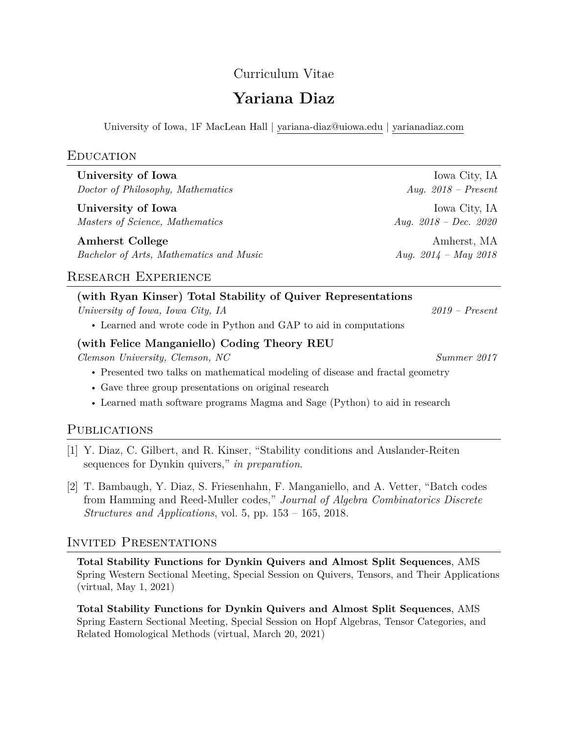## Curriculum Vitae

# **Yariana Diaz**

University of Iowa, 1F MacLean Hall | [yariana-diaz@uiowa.edu](mailto:yariana-diaz@uiowa.edu) | [yarianadiaz.com](https://yarianadiaz.com)

#### **EDUCATION**

| University of Iowa                      | Iowa City, IA           |
|-----------------------------------------|-------------------------|
| Doctor of Philosophy, Mathematics       | Aug. $2018$ – Present   |
| University of Iowa                      | Iowa City, IA           |
| Masters of Science, Mathematics         | Aug. $2018 - Dec.$ 2020 |
| <b>Amherst College</b>                  | Amherst, MA             |
| Bachelor of Arts, Mathematics and Music | Aug. $2014 - May 2018$  |

## Research Experience

| (with Ryan Kinser) Total Stability of Quiver Representations      |                  |
|-------------------------------------------------------------------|------------------|
| University of Iowa, Iowa City, IA                                 | $2019$ – Present |
| • Learned and wrote code in Python and GAP to aid in computations |                  |
| (with Felice Manganiello) Coding Theory REU                       |                  |
| Clemson University, Clemson, NC                                   | Summer 2017      |

- Presented two talks on mathematical modeling of disease and fractal geometry
- Gave three group presentations on original research
- Learned math software programs Magma and Sage (Python) to aid in research

## PUBLICATIONS

- [1] Y. Diaz, C. Gilbert, and R. Kinser, "Stability conditions and Auslander-Reiten sequences for Dynkin quivers," *in preparation*.
- [2] T. Bambaugh, Y. Diaz, S. Friesenhahn, F. Manganiello, and A. Vetter, "Batch codes from Hamming and Reed-Muller codes," *Journal of Algebra Combinatorics Discrete Structures and Applications*, vol. 5, pp. 153 – 165, 2018.

## Invited Presentations

**Total Stability Functions for Dynkin Quivers and Almost Split Sequences**, AMS Spring Western Sectional Meeting, Special Session on Quivers, Tensors, and Their Applications (virtual, May 1, 2021)

**Total Stability Functions for Dynkin Quivers and Almost Split Sequences**, AMS Spring Eastern Sectional Meeting, Special Session on Hopf Algebras, Tensor Categories, and Related Homological Methods (virtual, March 20, 2021)